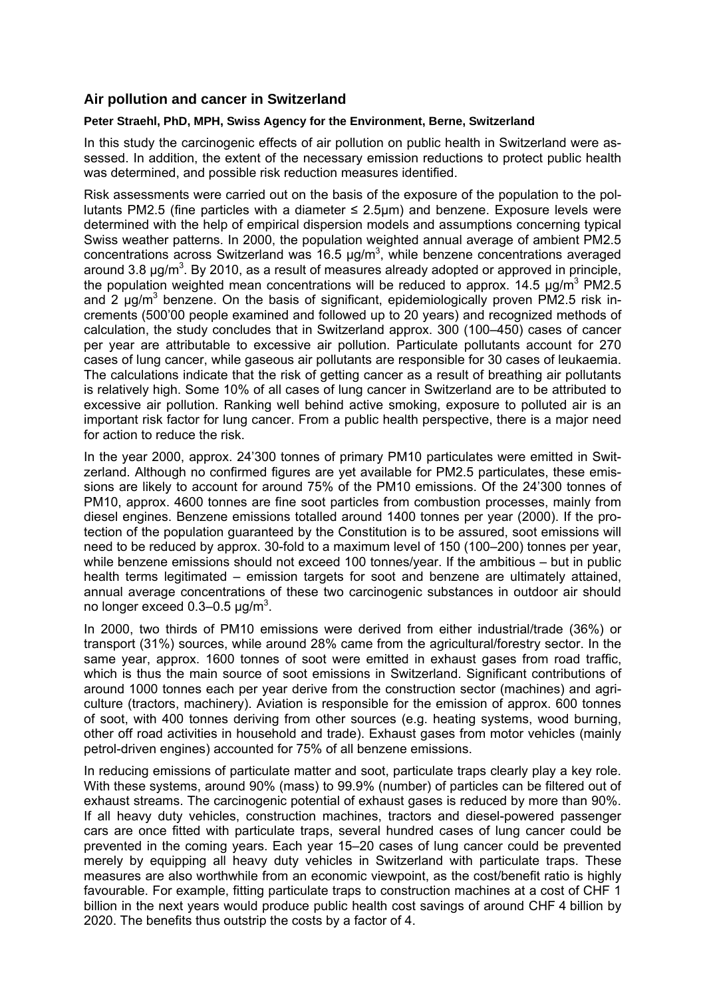#### **Air pollution and cancer in Switzerland**

#### **Peter Straehl, PhD, MPH, Swiss Agency for the Environment, Berne, Switzerland**

In this study the carcinogenic effects of air pollution on public health in Switzerland were assessed. In addition, the extent of the necessary emission reductions to protect public health was determined, and possible risk reduction measures identified.

Risk assessments were carried out on the basis of the exposure of the population to the pollutants PM2.5 (fine particles with a diameter ≤ 2.5µm) and benzene. Exposure levels were determined with the help of empirical dispersion models and assumptions concerning typical Swiss weather patterns. In 2000, the population weighted annual average of ambient PM2.5 concentrations across Switzerland was 16.5  $\mu$ g/m<sup>3</sup>, while benzene concentrations averaged around 3.8  $\mu$ g/m<sup>3</sup>. By 2010, as a result of measures already adopted or approved in principle, the population weighted mean concentrations will be reduced to approx. 14.5  $\mu$ g/m<sup>3</sup> PM2.5 and 2  $\mu$ g/m<sup>3</sup> benzene. On the basis of significant, epidemiologically proven PM2.5 risk increments (500'00 people examined and followed up to 20 years) and recognized methods of calculation, the study concludes that in Switzerland approx. 300 (100–450) cases of cancer per year are attributable to excessive air pollution. Particulate pollutants account for 270 cases of lung cancer, while gaseous air pollutants are responsible for 30 cases of leukaemia. The calculations indicate that the risk of getting cancer as a result of breathing air pollutants is relatively high. Some 10% of all cases of lung cancer in Switzerland are to be attributed to excessive air pollution. Ranking well behind active smoking, exposure to polluted air is an important risk factor for lung cancer. From a public health perspective, there is a major need for action to reduce the risk.

In the year 2000, approx. 24'300 tonnes of primary PM10 particulates were emitted in Switzerland. Although no confirmed figures are yet available for PM2.5 particulates, these emissions are likely to account for around 75% of the PM10 emissions. Of the 24'300 tonnes of PM10, approx. 4600 tonnes are fine soot particles from combustion processes, mainly from diesel engines. Benzene emissions totalled around 1400 tonnes per year (2000). If the protection of the population guaranteed by the Constitution is to be assured, soot emissions will need to be reduced by approx. 30-fold to a maximum level of 150 (100–200) tonnes per year, while benzene emissions should not exceed 100 tonnes/year. If the ambitious – but in public health terms legitimated – emission targets for soot and benzene are ultimately attained, annual average concentrations of these two carcinogenic substances in outdoor air should no longer exceed  $0.3-0.5$  µg/m<sup>3</sup>.

In 2000, two thirds of PM10 emissions were derived from either industrial/trade (36%) or transport (31%) sources, while around 28% came from the agricultural/forestry sector. In the same year, approx. 1600 tonnes of soot were emitted in exhaust gases from road traffic, which is thus the main source of soot emissions in Switzerland. Significant contributions of around 1000 tonnes each per year derive from the construction sector (machines) and agriculture (tractors, machinery). Aviation is responsible for the emission of approx. 600 tonnes of soot, with 400 tonnes deriving from other sources (e.g. heating systems, wood burning, other off road activities in household and trade). Exhaust gases from motor vehicles (mainly petrol-driven engines) accounted for 75% of all benzene emissions.

In reducing emissions of particulate matter and soot, particulate traps clearly play a key role. With these systems, around 90% (mass) to 99.9% (number) of particles can be filtered out of exhaust streams. The carcinogenic potential of exhaust gases is reduced by more than 90%. If all heavy duty vehicles, construction machines, tractors and diesel-powered passenger cars are once fitted with particulate traps, several hundred cases of lung cancer could be prevented in the coming years. Each year 15–20 cases of lung cancer could be prevented merely by equipping all heavy duty vehicles in Switzerland with particulate traps. These measures are also worthwhile from an economic viewpoint, as the cost/benefit ratio is highly favourable. For example, fitting particulate traps to construction machines at a cost of CHF 1 billion in the next years would produce public health cost savings of around CHF 4 billion by 2020. The benefits thus outstrip the costs by a factor of 4.